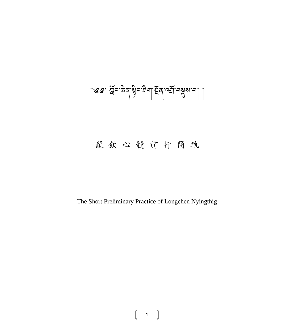# ্ডিঃ। দুঁহা: জন্ম জ্ঞান দুর্শ সম্প্রান মুখ্য যা

# 龍 欽 心 髓 前 行 簡 軌

The Short Preliminary Practice of Longchen Nyingthig

1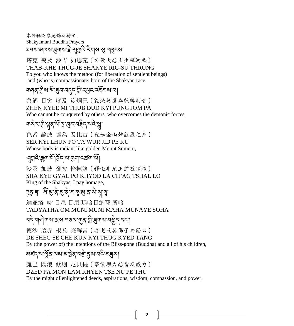本師釋迦摩尼佛祈禱文, Shakyamuni Buddha Prayers

ঘনম'মানম'ষ্ট্ৰনাম'ই'পুশূৰ্ব'ইনাম'মু'নব্ভুনমা

塔克 突及 沙吉 如思充〔方便大悲出生釋迦族〕 THAB-KHE THUG-JE SHAKYE RIG-SU THRUNG To you who knows the method (for liberation of sentient beings) and (who is) compassionate, born of the Shakyan race,

### ঘাৰৰ গ্ৰীষ মী শ্ৰম নৰ্দ, গ্ৰী শ্ৰম নহয় কৰা না

善解 目突 度及 崩炯巴〔毀滅諸魔無敵勝利者〕 ZHEN KYEE MI THUB DUD KYI PUNG JOM PA Who cannot be conquered by others, who overcomes the demonic forces,

# <u>না</u>ম ২ ট্রি.স্ট্রিন, ব্রুপ্রের, বার্ড, ব্রুটি, বার্ড, ব্রি

色皆 論波 達為 及比古〔宛如金山妙莊嚴之身〕 SER KYI LHUN PO TA WUR JID PE KU Whose body is radiant like golden Mount Sumeru,

#### ৻ঀয়ৢ৾ঽ৾<sup>৽</sup>য়ৣ৾৾৽৸ৗৣ৾৾ঀৣ৾ৼ৾৴<sub>৸</sub>য়৾য়ৢয়৾ৼঀড়৻৸ৢয়

沙及 加波 卻拉 恰擦洛〔釋迦牟尼王前敬頂禮〕 SHA KYE GYAL PO KHYOD LA CH'AG TSHAL LO King of the Shakyas, I pay homage,

#### চূড়া ধুঞ্জাৰ প্ৰাৰ্থ কৰা কৰা প্ৰাৰ্থ

達亚塔 嗡 目尼 目尼 瑪哈目納耶 所哈 TADYATHA OM MUNI MUNI MAHA MUNAYE SOHA

#### ব্দ, নাপৰাৰ মুৰ বৰুৱা এছ গ্ৰাম্বাৰ বিষয়ে নাপৰ

德沙 這界 根及 突解當〔善逝及其佛子共發心〕 DE SHEG SE CHE KUN KYI THUG KYED TANG By (the power of) the intentions of the Bliss-gone (Buddha) and all of his children,

#### য়হ্ন'ন'ষ্ক্লিক'নমাট্টৰ'নষ্ট'ৰ্ম'নন্দি'ম্ব্ৰমা

雜巴 悶浪 欽則 尼貝提〔事業願力悲智及威力〕 DZED PA MON LAM KHYEN TSE NÜ PE THÜ

By the might of enlightened deeds, aspirations, wisdom, compassion, and power.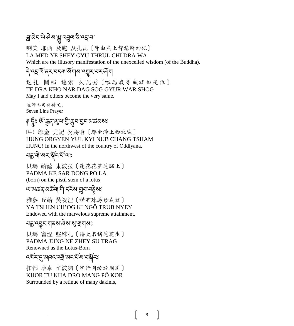# ন্ন'ৰ্মন্'ঊ্ৰ'ন্মু'ন্মুন্ম'ৰ্ক'ন্ম'ন্

喇美 耶西 及處 及扎瓦〔皆由無上智慧所幻化〕 LA MED YE SHEY GYU THRUL CHI DRA WA Which are the illusory manifestation of the unexcelled wisdom (of the Buddha).

# ন্দ্রিশ্বিম বন্না মঁনাম ব্রুম বমর্শনা

迭扎 闊那 達索 久瓦秀〔唯愿我等成就如是位〕 TE DRA KHO NAR DAG SOG GYUR WAR SHOG May I and others become the very same.

蓮師七句祈禱文, Seven Line Prayer

# ৃ হ্নুঃ ॲিক্কুব্'খুন'ট্ৰীব্'ব্ৰুন'ভ্ৰুন'মক্কৰ্মাঃ

吽! 鄔金 尤記 努將倉〔鄔金淨土西北域〕 HUNG ORGYEN YUL KYI NUB CHANG TSHAM HUNG! In the northwest of the country of Oddiyana,

#### মহ্ন'নী'মহ'য়ুঁহ'য়াঁঅঃ

貝瑪 給薩 東波拉〔蓮花花莖蓮胚上〕 PADMA KE SAR DONG PO LA (born) on the pistil stem of a lotus

# খামক্তবামৰ্ক্তবা নী দুৰ্নিখ ব্ৰুমাণ কৰি স

雅參 丘給 吳祝涅〔稀有殊勝妙成就〕 YA TSHEN CH'OG KI NGÖ TRUB NYEY Endowed with the marvelous supreme attainment,

# ঘহ্ন ব্ৰুন নাৰ্ম ৰৈ ৰাজ্য আৰ

貝瑪 窘涅 些殊札〔得大名稱蓮花生〕 PADMA JUNG NE ZHEY SU TRAG Renowned as the Lotus-Born

# ব্দিম্ নৃষ্ণাৰ্ত্ত ৰাম্বিলি আৰু বিদ্যালয়

扣都 康卓 忙波夠〔空行圍繞於周圍〕 KHOR TU KHA DRO MANG PÖ KOR Surrounded by a retinue of many dakinis,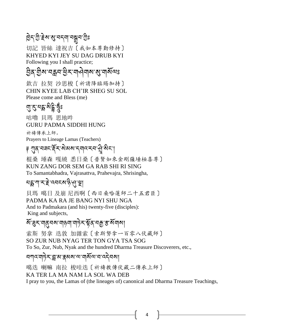# ছিন্:শ্ৰু:ইম'ম্ভ্ৰ'নখৰ অৱ্ল'গ্ৰ

切記 皆絲 達祝吉〔我如本尊勤修持〕 KHYED KYI JEY SU DAG DRUB KYI Following you I shall practice;

ঠ্রির শ্রীষ্ম বহ্লব শ্রীষ্ম বার্মবায়

欽吉 拉契 沙思梭〔祈請降臨賜加持〕 CHIN KYEE LAB CH'IR SHEG SU SOL Please come and Bless (me)

# <u>ন্মু:বুংগুই, বুং</u>

咕嚕 貝瑪 思地吽 GURU PADMA SIDDHI HUNG

祈禱傳承上師, Prayers to Lineage Lamas (Teachers)

ৃ শুন্'নৰ্ন'ইন'ৰ্মৰ্ম'ন্ম্মু'ৰ্মন'|

棍桑 埵森 嘎繞 悉日桑〔普賢如來金剛薩埵極喜尊〕 KUN ZANG DOR SEM GA RAB SHI RI SING To Samantabhadra, Vajrasattva, Prahevajra, Shrisingha,

# ঘহ্ল'শ্বাই'ব্বহ্ম'ষ্টৃপ্ৰৃশ্ব্

貝瑪 噶日 及崩 尼西啊〔西日桑哈蓮師二十五君臣〕 PADMA KA RA JE BANG NYI SHU NGA And to Padmakara (and his) twenty-five (disciples): King and subjects,

# *ষ* ব্ৰেম নাৰ্ত্ত মানাৰ বিদ্যুত্ত বিদ্যুত্ত স্থা

索斯 努拿 迭敦 加雜索〔索斯努拿一百零八伏藏師〕 SO ZUR NUB NYAG TER TON GYA TSA SOG To So, Zur, Nub, Nyak and the hundred Dharma Treasure Discoverers, etc.,

#### ষশ্যমন্ত্ৰীসম্ভ্ৰাস্কৰ অসমৰাজ্যৰ ক্ষেত্ৰ

噶迭 喇嘛 南拉 梭哇迭〔祈禱教傳伏藏二傳承上師〕 KA TER LA MA NAM LA SOL WA DEB I pray to you, the Lamas of (the lineages of) canonical and Dharma Treasure Teachings,

4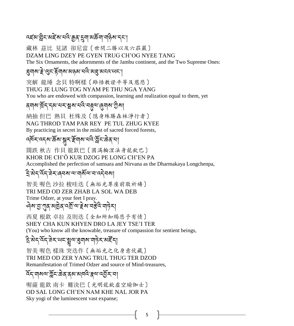# ়বইম'ন্লীহ'মইঁম'ঘই'ক্কুৰ্'হ্ৰ্মা'মৰ্ক্টনা'ন্নষ্টিম'হ্হ'

藏林 茲比 見諸 卻尼當〔世間二勝以及六莊嚴〕 DZAM LING DZEY PE GYEN TRUG CH'OG NYEE TANG

The Six Ornaments, the adornments of the Jambu continent, and the Two Supreme Ones:

#### इ्याबाद्दे:खुदाईयाबाअञ्ज्ञायवे:ब्राह्मसदय्पदा

突解 龍埵 念貝 特啊樣〔雖悟教證平等及慈悲〕

#### THUG JE LUNG TOG NYAM PE THU NGA YANG

You who are endowed with compassion, learning and realization equal to them, yet

#### ব্ৰম্ম শ্ৰিন্'ন্ম'খ্ম'শ্ৰুম'ব্ৰন্থ, ব্লুন্ম'ৰ্লুমা

納抽 但巴 熱貝 杜殊及〔隱身殊勝森林淨行者〕 NAG THROD TAM PAR REY PE TUL ZHUG KYEE By practicing in secret in the midst of sacred forced forests,

# ব্দৰ্শ বৰ্ষৰাস্ত্ৰী সম্ভিত্য কৰি বিদি

闊跌 秋古 作貝 龍欽巴〔圓滿輪涅法身龍欽巴〕 KHOR DE CH'Ö KUR DZOG PE LONG CH'EN PA Accomplished the perfection of samsara and Nirvana as the Dharmakaya Longchenpa,

#### ৼ্রি'ষ্টন্'ৰ্ন্ন'ৰ্ন্নম'ন'ন্মন্ন'ন্ন্ন্নমা

智美 喔色 沙拉 梭哇迭〔無垢光尊座前敬祈禱〕 TRI MED OD ZER ZHAB LA SOL WA DEB Trime Odzer, at your feet I pray. ক্মভ্যু শূৰ্ষ প্ৰত্নিত্ৰ বৰ্ষী আৰু স্বাস্থ্য স্বাস্থ্য স্বাস্থ্য

# 西夏 根欽 卓拉 及則迭〔全知所知賜悲予有情〕

SHEY CHA KUN KHYEN DRO LA JEY TSE'I TER

(You) who know all the knowable, treasure of compassion for sentient beings,

#### ঽৢ৾৽য়ৼড়৻ৼ৾ঀৼ৸ৼ৸ৼ৸ৼ৸ৼ৸ৼ৸ৼ৸ৼ৸ৼ

智美 喔色 樣珠 突迭作〔無垢光之化身意伏藏〕 TRI MED OD ZER YANG TRUL THUG TER DZOD Remanifestation of Trimed Odzer and source of Mind-treasures,

#### হ্নি'নামন্মশ্লিন'ক্কি'ব্ৰুম'নামি'ক্লিম'না

喔薩 龍欽 南卡 難決巴〔光明龍欽虛空瑜伽士〕 OD SAL LONG CH'EN NAM KHE NAL JOR PA Sky yogi of the luminescent vast expanse;

5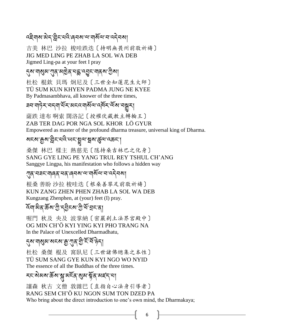# বইনাম'ঐন'ন্ন্নীন'নবি'ৰেনম'ন'নাৰ্মীন'ন'নেনীনমা

吉美 林巴 沙拉 梭哇跌迭〔持明無畏州前敬祈禱〕 JIG MED LING PE ZHAB LA SOL WA DEB Jigmed Ling-pa at your feet I pray

#### ্ঝ'নাঝুম'শ্যম্'মাট্টৰ'মহ্ক'ন্ত্ৰুন'নাম্ম'ট্টিমা

杜松 棍欽 貝瑪 炯尼及〔三世全知蓮花生大師〕 TÜ SUM KUN KHYEN PADMA JUNG NE KYEE By Padmasambhava, all knower of the three times,

#### <u> ब</u>न'गठे़≺'নন্মাশ্রঁ≺'মন্নেম্মল'ন্দি≺'ন্মুখ্যা

薩跌 達布 啊索 闊洛記〔授權伏藏教主轉輪王〕 ZAB TER DAG POR NGA SOL KHOR LÖ GYUR

Empowered as master of the profound dharma treasure, universal king of Dharma.

#### <u>য়ৼ৶ড়ৗ৻৻য়ৣ৾ৼ৻ৼ৻৻৻৻৻৻৻ৼ৾য়৾৻৻৻য়৾য়৻৻ড়৻৻৻৻ড়৻৸</u>

桑傑 林巴 樣主 熱慈羌〔隱持桑吉林巴之化身〕 SANG GYE LING PE YANG TRUL REY TSHUL CH'ANG Sanggye Lingpa, his manifestation who follows a hidden way

#### ্শ্ব্ৰাব্মহামাৰ্জ্যখন্ত্ৰাৰ্জ্যখন্ত্ৰী সম্পৰ্কী সম্বি

根桑 善盼 沙拉 梭哇迭〔根桑善攀足前敬祈禱〕 KUN ZANG ZHEN PHEN ZHAB LA SOL WA DEB Kungzang Zhenphen, at (your) feet (I) pray.

#### হিনা মৰ উৰু মুক্তি বুলি প্ৰাৰ্ট বিভিন্ন

喔門 秋及 央及 波掌納〔密嚴剎土法界宮殿中〕 OG MIN CH'Ö KYI YING KYI PHO TRANG NA In the Palace of Unexcelled Dharmadhatu,

### ন্ত্ৰা নাৰ্থ্য ৰাজ্য আৰু মুখ্য বিদ্যুতি বিদ্য

杜松 桑傑 棍及 窩臥尼〔三世諸佛總集之本性〕 TÜ SUM SANG GYE KUN KYI NGO WO NYID The essence of all the Buddhas of the three times.

# <u></u>হ্মেমৰাৰ্ক্টৰাক্গুমহিন'ৰ্মুম'ৰ্ষ্টৰ'ৰ্মহঁন'ৰা

讓森 秋古 文僧 敦雜巴〔直指自心法身引導者〕 RANG SEM CH'Ö KU NGON SUM TON DZED PA Who bring about the direct introduction to one's own mind, the Dharmakaya;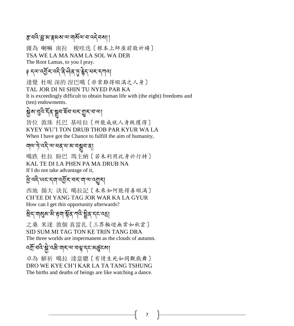#### इ'নন্দ্রাম'ক্করুম্ম'ন'মামিঅ'ন'ন্দ্রীসমা।

雜為 喇嘛 南拉 梭哇迭〔根本上師座前敬祈禱〕 TSA WE LA MA NAM LA SOL WA DEB The Root Lamas, to you I pray.

# ༈ དལ་འབྱོར་འདི་ནི་ཤིན་ཏུ་རྗེད་པར་དཀའ།

達覺 杜呢 深的 涅巴噶〔非常難得暇滿之人身〕 TAL JOR DI NI SHIN TU NYED PAR KA It is exceedingly difficult to obtain human life with (the eight) freedoms and (ten) endowments.

# ৡ৾য়ৼঀৢ৾ঽ৾ৼৄ৾ঽৼয়৸ৼৢ৾ড়ৼৼ৻

皆位 敦珠 托巴 基哇拉〔所能成就人身既獲得〕 KYEY WU'I TON DRUB THOB PAR KYUR WA LA When I have got the Chance to fulfill the aim of humanity,

# ঀাঝ'দ্ট'ৰ্দ্দ'ৰ্ম'ৰম্ব'ৰাজ্যৰ কা

噶跌 杜拉 盼巴 瑪主納〔若未利用此身於行持〕 KAL TE DI LA PHEN PA MA DRUB NA If I do not take advantage of it,

#### ཕྱི་འདི་ཡང་དག་འབྱོར་བར་ག་ལ་འགྱུར།

西地 揚大 決瓦 噶拉記〔未來如何能得善暇滿〕 CH'EE DI YANG TAG JOR WAR KA LA GYUR How can I get this opportunity afterwards?

# <u>ষী</u>ন'নাম্ভ্ৰম'ন্ক'ৰুম'ন্মৰ' শ্লীৰ'ন্ন'ন্ন

之桑 米達 敦個 真當扎〔三界輪迴無常如秋雲〕 SID SUM MI TAG TON KE TRIN TANG DRA The three worlds are impermanent as the clouds of autumn.

# বর্ম্রাব্দ্রিষ্ট্রাব্দ্রুর্মাব্দ্রাব্দ্রাব্দ্রাব্দ্রাব্দ্রা

卓為 解祈 噶拉 達當聰〔有情生死如同觀戲舞〕 DRO WE KYE CH'I KAR LA TA TANG TSHUNG The births and deaths of beings are like watching a dance.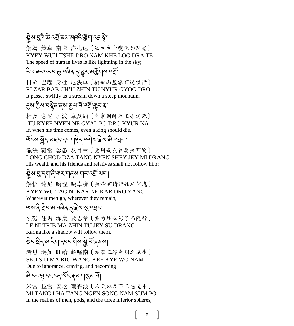# <u>ऄ</u>়ম ব্রেই ক্ট'ব্র্মা ব্রম মান্দ স্ট্রানা ব্রাস্থা

解為 策卓 南卡 洛扎迭〔眾生生命變化如閃電〕 KYEY WU'I TSHE DRO NAM KHE LOG DRA TE The speed of human lives is like lightning in the sky;

#### ২ি:নামম:বেনম:জ্ঞুমজ্জিম্'ন্মুম:মর্ম্র্যামান্ম্রা

日薩 巴起 身杜 尼決卓〔猶如山崖瀑布速疾行〕 RI ZAR BAB CH'U ZHIN TU NYUR GYOG DRO It passes swiftly as a stream down a steep mountain.

#### <u>্</u>নুম'গ্ৰীম'নম্ব্ৰুব'ব্ৰম'ক্লুঅ'ৰ্ম'ন্মুম'ৰা

杜及 念尼 加波 卓及納〔無常到時國王亦定死〕 TÜ KYEE NYEN NE GYAL PO DRO KYUR NA If, when his time comes, even a king should die,

# শ্ৰ্মৰ ষ্ট্ৰন্স মহন বিধাৰণৰ স্বাস্থ্য স্থা

龍決 雜當 念悉 及目章〔受用親友眷屬無可隨〕 LONG CHOD DZA TANG NYEN SHEY JEY MI DRANG His wealth and his friends and relatives shall not follow him;

#### སྗེས་བུ་དག་ནི་གར་གནས་གར་འགྲོ་ཡང་།

解悟 達尼 噶涅 噶卓樣〔無論有情行住於何處〕 KYEY WU TAG NI KAR NE KAR DRO YANG Wherever men go, wherever they remain,

# অম'ন্সীম'ম'নৰিন'্স'ইম'ম্ম'ন্মন'

烈努 住瑪 深度 及思章〔業力猶如影子而隨行〕 LE NI TRIB MA ZHIN TU JEY SU DRANG Karma like a shadow will follow them.

# য়ৼৼ ব্রাইনার্ড বিদ্রাজ্য বিদ্রা

者思 瑪如 旺給 解喔南〔執著三界無明之眾生〕 SED SID MA RIG WANG KEE KYE WO NAM Due to ignorance, craving, and becoming

# མི་དང་ལྷ་དང་ངན་སོང་རྣམ་གསུམ་པོ།

米當 拉當 安松 南森波〔人天以及下三惡道中〕 MI TANG LHA TANG NGEN SONG NAM SUM PO In the realms of men, gods, and the three inferior spheres,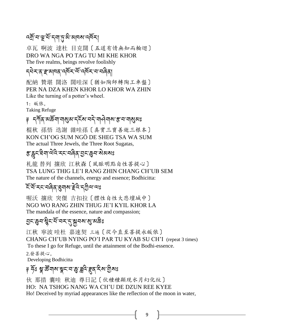### বর্ষ্রা বাস্থার্থী ব্রান্ত ব্রান্ত ব্রা

卓瓦 啊波 達杜 目克闊〔五道有情無知而輪迴〕 DRO WA NGA PO TAG TU MI KHE KHOR The five realms, beings revolve foolishly

#### དཔྗེར་ན་ར་མཁན་འཁོར་ལོ་འཁོར་བ་བཞིན།

配納 贊堪 闊洛 闊哇深〔猶如陶師轉陶工車盤〕 PER NA DZA KHEN KHOR LO KHOR WA ZHIN Like the turning of a potter's wheel.

1: 皈依,

Taking Refuge

# ৃ নৰ্শিক মঙ্কৰা নাৰ্থম নহী নাৰ্ত নাৰ্থমা কৰা নাৰ্থমা

棍秋 孫悟 迭謝 雜哇孫〔真實三寶善逝三根本〕 KON CH'OG SUM NGÖ DE SHEG TSA WA SUM The actual Three Jewels, the Three Root Sugatas,

# *इ*:द्वेन्द्रं चेनालेदे:न्द्रं चढ़ेव्हें चेन्द्रं चुन्द्रं कुनालेब्ब्ब्ध

札龍 替列 攘欣 江秋森〔風脈明點自性菩提心〕 TSA LUNG THIG LE'I RANG ZHIN CHANG CH'UB SEM The nature of the channels, energy and essence; Bodhicitta:

# হিঁ মৃত্যৰ বিৰ্ত্ত প্ৰদাস দূৰ পৰীত্ৰ কা

喔沃 攘欣 突傑 吉扣拉〔體性自性大悲壇城中〕 NGO WO RANG ZHIN THUG JE'I KYIL KHOR LA The mandala of the essence, nature and compassion;

# হ্যাঞ্জেন'শ্প্লীর্মান্ত প্রান্তঃ

江秋 寜波 哇杜 嘉速契 三遍〔從今直至菩提永皈依〕 CHANG CH'UB NYING PO'I PAR TU KYAB SU CH'I (repeat 3 times) To these I go for Refuge, until the attainment of the Bodhi-essence. 2.發菩提心, Developing Bodhicitta

# ৃ হ্যুঃ শ্বু:স্থ্রুদ্রারাঞ্জুদ্লবি:ছব্রাইমান্ত্রীসঃ

伙 那措 囊哇 秋迪 尊日記〔伙種種顯现水月幻化纹〕 HO: NA TSHOG NANG WA CH'U DE DZUN REE KYEE Ho! Deceived by myriad appearances like the reflection of the moon in water,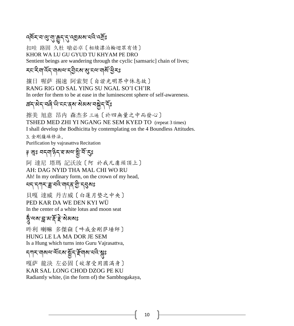# ব্দুৰ্শ্ন প্ৰাৰ্থী ৰ্ছিৰ্ $\mathcal{L}$ ৰ্থিপ্ৰস্থা পতৃঃ

扣哇 路固 久杜 嗆必卓〔相续漂泊輪迴眾有情〕 KHOR WA LU GU GYUD TU KHYAM PE DRO Sentient beings are wandering through the cyclic [samsaric] chain of lives;

#### རང་རིག་འོད་གསལ་དབྱིངས་སུ་ངལ་གསོ་ཕྱིརཱུྂཿ

攘日 喔萨 掦速 阿索契〔自證光明界中休息故〕 RANG RIG OD SAL YING SU NGAL SO'I CH'IR

In order for them to be at ease in the luminescent sphere of self-awareness.

#### *ಹ*ন্-মন্নৰি<sup>-</sup>ਘੈ'মমৰ্মাৰী মাৰাজীৱ দিঃ

擦美 旭意 昂内 森杰多 三遍〔於四無量之中而發心〕 TSHED MED ZHI YI NGANG NE SEM KYED TO (repeat 3 times)

I shall develop the Bodhicitta by contemplating on the 4 Boundless Attitudes.

3. 金剛薩垛修法, Purification by vajrasattva Recitation

# ঃ ঙ্গঃ নন্নান্টন'য় মন্ত্ৰী সূঃ

阿 達尼 塔瑪 記沃汝〔阿 於我凡庸頭頂上〕 AH: DAG NYID THA MAL CHI WO RU Ah! In my ordinary form, on the crown of my head,

# মন্দ্ৰান্ত্ৰ'ন্ন ক্ৰমেণ্ড কৰা সম্ভি

貝嘎 達威 丹吉威〔白蓮月垫之中央〕 PED KAR DA WE DEN KYI WÜ In the center of a white lotus and moon seat

# ঽঁ অম'ন্ন'ম'ৰ্ই'ই'ৰ্মমৰঃ

吽利 喇嘛 多傑森〔吽成金剛萨埵師〕 HUNG LE LA MA DOR JE SEM Is a Hung which turns into Guru Vajrasattva,

### *ন্*শৰ্মাৰাম্বাইমা ষ্ট্ৰন ক্লিয়া

嘎萨 龍決 左必固〔皎潔受用圓滿身〕 KAR SAL LONG CHOD DZOG PE KU Radiantly white, (in the form of) the Sambhogakaya,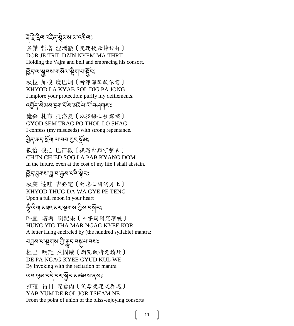# ই ইণ্ট্ৰ ইন্দ্ৰ ইন'ষ্ট্ৰমৰ ম'ন্ট্ৰনঃ

多傑 哲增 涅瑪徹〔雙運慢母持鈴杵〕 DOR JE TRIL DZIN NYEM MA THRIL Holding the Vajra and bell and embracing his consort,

### ৰ্ট্ৰিন্'ৰ'ক্লুনৰ'মাৰ্ম্মৰ'ফুঁন্ড

秋拉 加梭 度巴炯〔祈淨罪障皈依您〕 KHYOD LA KYAB SOL DIG PA JONG I implore your protection: purify my defilements.

#### বর্ত্র্যন্' মিষ্মা মের্মিন্স মন্দির বিশিষ্য

覺森 札布 托洛夏〔以猛悔心發露懺〕 GYOD SEM TRAG PÖ THOL LO SHAG I confess (my misdeeds) with strong repentance.

# ঔঠুপ্ৰ'জন্'ৰ্মুমান্ম'মুহ'ৰ্মুমঃ

钦恰 梭拉 巴江敦〔後遇命難守誓言〕 CH'IN CH'ED SOG LA PAB KYANG DOM In the future, even at the cost of my life I shall abstain.

# হ্নি:য়্মনাথা খ্ৰু:খ্ৰাম্মান্মৰ স্কুনঃ

秋突 達哇 吉必定〔於您心間滿月上〕 KHYOD THUG DA WA GYE PE TENG Upon a full moon in your heart

#### ক্ষু অমা অধবন্য সম্পৰ্কী সং ؚ<br>ؚ

吽宜 塔瑪 啊記果〔吽字周围咒環繞〕 HUNG YIG THA MAR NGAG KYEE KOR A letter Hung encircled by (the hundred syllable) mantra;

# <u>ব</u>ন্নুম'ম'শূখুমাম'শ্ৰী'ক্ৰুন্'নম্নুম'নমঃ

杜巴 啊記 久固威〔誦咒敦請意續故〕 DE PA NGAG KYEE GYUD KUL WE By invoking with the recitation of mantra

୴ন্ড্রো নই বহার্ষ্ট্র সেক্টর বার্ষঃ

雅雍 得日 究倉內〔父母雙運交界處〕 YAB YUM DE ROL JOR TSHAM NE From the point of union of the bliss-enjoying consorts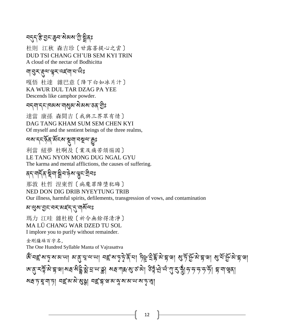# ন্ন্ন'স্তি'হ্ৰন'ন্ত্ৰন'ৰীজ্ঞা

杜則 江秋 森吉珍〔甘露菩提心之雲〕 DUD TSI CHANG CH'UB SEM KYI TRIN A cloud of the nectar of Bodhicitta

#### য়ৼৢঽৼৼ৸ৼ৸ৼৗ

嘎悟 杜達 雜巴意〔降下白如冰片汁〕 KA WUR DUL TAR DZAG PA YEE Descends like camphor powder.

#### বন্মান্নাৰেম্যানাম্ভ্ৰমামীয়মাজ্যা

達當 康孫 森間吉〔我與三界眾有情〕 DAG TANG KHAM SUM SEM CHEN KYI Of myself and the sentient beings of the three realms,

### অম'ন্নইৰ্'ৰ্মৰম'্মুম্বা'নম্মুঅ'ক্ৰুঃ

利當 紐夢 杜啊及〔業及痛苦煩惱因〕 LE TANG NYON MONG DUG NGAL GYU The karma and mental afflictions, the causes of suffering.

# ব্দাশৰ্দিকা শ্বীমান্ত মাঞ্জুনাত্ৰীমঃ

那敦 杜哲 涅東哲〔病魔罪障墮犯晦〕 NED DON DIG DRIB NYEYTUNG TRIB Our illness, harmful spirits, defilements, transgression of vows, and contamination

#### <u>য়</u>৾ ঝৢ শ্রুম্'ন্রুম্'ন্সম্পে শ্রুম্'ন্সম্পর

瑪力 江哇 雜杜梭〔祈令無餘得清淨〕 MA LÜ CHANG WAR DZED TU SOL I implore you to purify without remainder.

金剛薩垛百字名, The One Hundred Syllable Manta of Vajrasattva

ঙ্ম বহ্ৰ মত্ন মামাৰা মাৰ্দ্ৰান্মানা বহ্ৰ মত্বৰ্দ্ব হৈ না টুষ্ট ব্ৰাষ্ট্ৰান্না গুৰ্দ্ৰ জ্বিন্দ্ৰা গ্ৰাম্ভিক্ট ইম্ব জ'ব্'ম্মুন্মি'হ্ৰ'খ|মন্মই হ্ৰী'য়'থ'ম'ষ্ক্ৰ| মন্ৰ'শৰু'ৰ'কম| উৰ্হু'ঐ'ৰ্থ'শু'মু'ষ্ঠ'ৰ্স'সৃ'সৃ'সৃ হ্ৰ'না'শ্বৰ্ব| সন্ন'দ'য়'না'দ। নহ'ম'ম'মুগ্গা নহ'ন্ন'ম'ম'কু'ম'ম'ম'ম'দৃ'ম্মা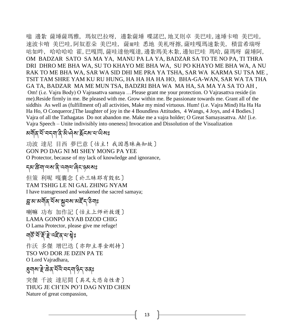嗡 邊紮 薩埵薩瑪雅, 瑪奴巴拉呀, 邊紮薩埵 喋諾巴,地叉則卓 美巴哇,速埵卡唷 美巴哇, 速波卡唷 美巴哇,阿奴惹朵 美巴哇, 薩爾哇 悉地 美札呀擦,薩哇嘎瑪速紮美, 積當希瑞呀 咕如吽, 哈哈哈哈 霍,巴嘎問,薩哇達他嘎達,邊紮瑪美木紮,邊知巴哇 瑪哈,薩瑪呀 薩埵阿, OM BADZAR SATO SA MA YA, MANU PA LA YA, BADZAR SA TO TE NO PA, TI THRA DRI DHRO ME BHA WA, SU TO KHAYO ME BHA WA, SU PO KHAYO ME BHA WA, A NU RAK TO ME BHA WA, SAR WA SID DHI ME PRA YA TSHA, SAR WA KARMA SU TSA ME , TSIT TAM SHRE YAM KU RU HUNG, HA HA HA HA HO, BHA-GA-WAN, SAR WA TA THA GA TA, BADZAR MA ME MUN TSA, BADZRI BHA WA MA HA, SA MA YA SA TO AH , Om! (i.e. Vajra Body) O Vajrasattva samaya …Please grant me your protection. O Vajrasattva reside (in me).Reside firmly in me. Be pleased with me. Grow within me. Be passionate towards me. Grant all of the siddhis As well as (fulfillment of) all activities, Make my mind virtuous. Hum! (i.e. Vajra Mind) Ha Ha Ha Ha Ho, O Conqueror,[The laughter of joy in the 4 Boundless Attitudes, 4 Wangs, 4 Joys, and 4 Bodies.] Vajra of all the Tathagatas Do not abandon me. Make me a vajra holder; O Great Samayasattva. Ah! [i.e. Vajra Speech – Unite indivisibly into oneness] Invocation and Dissolution of the Visualization

#### <u>য়র্মী</u>র শীত্রব্রাজী স্বীপ্র শীত্র শিল্পীয়েঃ

功波 達尼 目西 夢巴意〔怙主! 我因愚昧無知故〕 GON PO DAG NI MI SHEY MONG PA YEE O Protector, because of my lack of knowledge and ignorance,

#### དམ་ཚིག་ལས་ནི་འགལ་ཞིང་ཉམསཱུྂཿ

但策 利呢 嘎囊念〔於三昧耶有毀犯〕 TAM TSHIG LE NI GAL ZHING NYAM I have transgressed and weakened the sacred samaya;

# ন্ন'ম'মৰ্শিব'ৰ্মৰ'মুনৰ মাইঁন'ষ্টশাঃ

喇嘛 功布 加作記〔怙主上师祈救護〕 LAMA GONPÖ KYAB DZOD CHIG O Lama Protector, please give me refuge!

# ৸উন্মই দ্ৰাই বাৰাস্ট্ৰঃ

作沃 多傑 增巴迭〔亦即主尊金剛持〕 TSO WO DOR JE DZIN PA TE O Lord Vajradhara,

# डुबाब है: ढेंब्'बंद बन्ना बेन्' डेंदुइ

突傑 千波 達尼間〔具足大悲自性者〕 THUG JE CH'EN PO'I DAG NYID CHEN Nature of great compassion,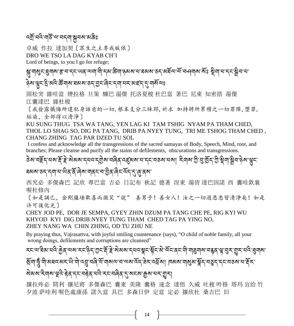#### বর্ষ্র্'নবি'নার্ষ্ট'ন্ম'নম্'ক্লাইঃ

卓威 作拉 達加契〔眾生之主尊我皈依〕

DRO WE TSO LA DAG KYAB CH'I

Lord of beings, to you I go for refuge;

ঙ্গা শগ্ৰহ প্ৰশৰ স্কাৰ হৈ অৱজ্ঞাত কৰা দিবলৈ স্কাৰ স্কাৰ স্কাৰ স্কাৰ স্কাৰ স্কাৰ স্কাৰ স্কাৰ স্কাৰ স ཉྗེས་ལྟུང་དྲི་མའི་ཚོགས་ཐམས་ཅད་བྱང་ཞིང་དག་པར་མཛད་དུ་གསོལཱུྂཿ

固松突 雜哇當 煙拉格 旦策 釀巴 湯傑 托洛夏梭 杜巴當 著巴 尼東 知密措 湯傑 江囊達巴 雜杜梭

〔我發露懺悔所違犯身語意的一切,根本支分三昧耶,祈求 加持將所累積之一切罪障,堕罪, 垢染,全部得以清淨〕

KU SUNG THUG TSA WA TANG, YEN LAG KI TAM TSHIG NYAM PA THAM CHED, THOL LO SHAG SO, DIG PA TANG, DRIB PA NYEY TUNG, TRI ME TSHOG THAM CHED , CHANG ZHING TAG PAR DZED TU SOL

I confess and acknowledge all the transgressions of the sacred samayas of Body, Speech, Mind, root, and branches; Please cleanse and purify all the stains of defilements, obscurations and transgressions.

डेश'नईन्'संश्रा'ई'ई'र्श्रेयश'न्सदानुर्श्चेष'नर्वेन्'दर्हुयश'न'न्नन्'नरुष'मा 'रेगन' ग्री'नु'प्रि'ग्री'श्रीन'ञ्जैश'श्लुन  $\ddot{\phantom{a}}$ 

<u> ঘৰুৰ কৰি প্ৰাণ্ড বুৰীৰ বিৰোধৰ বিৰোধৰ বিৰোধৰ প</u>

西究必 多傑森巴 記欣 尊巴當 吉必 日記布 秋記 德著 涅東 湯皆 達巴因諾 西 囊哇欽襄 喔杜修內

〔如是誦已,金剛薩埵歡喜而微笑"說" 善男子!善女人!汝之一切過患悉皆清淨矣!如是 许可後化光〕

CHEY JOD PE, DOR JE SEMPA, GYEY ZHIN DZUM PA TANG CHE PE, RIG KYI WU KHYOD KYI DIG DRIB NYEY TUNG THAM CHED TAG PA YING NO, ZHEY NANG WA CHIN ZHING, OD TU ZHU NE

By praying thus, Vajrasattva, with joyful smiling countenance (says), "O child of noble family, all your wrong doings, defilements and corruptions are cleansed"

རང་ལ་རེམ་པའེ་རྒྱུན་ལས་རང་ནེད་ཀྱང་རྲེ་རྲེ་སེམས་དཔའ་སྱང་སྱིང་མེ་ལེང་ནང་གེ་གརུགས་བརྒྱུན་ལྱ་བུར་གྱུར་པའེ་བུགས་  $\ddot{\phantom{a}}$ 

སྲོག་ཧ ་ག ི་མཐའ་མར་ཡ ི་གྗེ་འབྲུ་བཞ ི་པོ་གསལ་བ་ལས་འོད་ཟྗེར་འཕོས། ཁམས་གསུམ་སྣོད་བཅུད་དང་བཅས་པ་རོར་

#### ষীমৰা ইনাৰা ভ্ৰিণ্টেৰ্'ন্ন নাইৰ নাৰ কৰাৰ ব্ৰাৰ্থ্য সকল ভ্ৰিমাৰ ব্ৰাৰ্থ

攘拉疼必 間利 攘尼將 多傑森巴 囊東 美隆 囊格 速念 達悟 久威 吐梭 吽格 塔玛 宜给 竹 夕波 萨哇利 喔色處康孫 諾久當 具巴 多森日伊 定當 定必 攘欣杜 桑吉巴 旧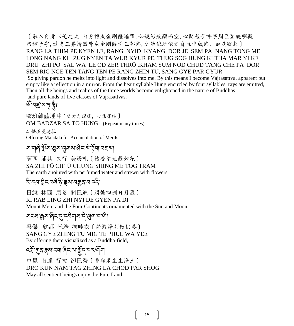〔融入自身以是之故,自身轉成金剛薩埵猶,如鏡影般顯而空,心間種子吽字周匝圍繞明觀 四種子字,放光三界情器皆成金剛薩埵五部佛,之能依所依之自性中成佛,如是觀想〕 RANG LA THIM PE KYEN LE, RANG NYID KYANG DOR JE SEM PA NANG TONG ME LONG NANG KI ZUG NYEN TA WUR KYUR PE, THUG SOG HUNG KI THA MAR YI KE DRU ZHI PO SAL WA LE OD ZER THRÖ ,KHAM SUM NOD CHUD TANG CHE PA DOR SEM RIG NGE TEN TANG TEN PE RANG ZHIN TU, SANG GYE PAR GYUR So giving pardon he melts into light and dissolves into me. By this means I become Vajrasattva, apparent but empty like a reflection in a mirror. From the heart syllable Hung encircled by four syllables, rays are emitted, Then all the beings and realms of the three worlds become enlightened in the nature of Buddhas and pure lands of five classes of Vajrasattvas.

#### জঁ<sup>-</sup>নহ্ৰ' মাদূৰ্দ্ধঃ

嗡班雜薩埵吽〔盡力念誦後,心住等持〕

OM BADZAR SA TO HUNG (Repeat many times)

4. 供養曼達拉

Offering Mandala for Accumulation of Merits

<u>য়ৼয়৻ড়৻ৼ৻ৼ৻৻৸৸৻৸৸৻৸৸৻৸</u>

薩西 埔其 久行 美透札〔諸香塗地敷妙花〕 SA ZHI PÖ CH' Ü CHUNG SHING ME TOG TRAM The earth anointed with perfumed water and strewn with flowers,

# རི་རབ་གིང་བཞི་ཉི་ཟླས་བརྒྱན་པ་འདི།

日繞 林西 尼爹 間巴迪〔須彌四洲日月嚴〕 RI RAB LING ZHI NYI DE GYEN PA DI Mount Meru and the Four Continents ornamented with the Sun and Moon,

སངས་རྒྱས་ཞིང་དུ་དམིགས་དྗེ་ཕུལ་བ་ཡི།

桑傑 欣都 米迭 撲哇衣〔諦觀淨剎做供養〕 SANG GYE ZHING TU MIG TE PHUL WA YEE By offering them visualized as a Buddha-field,

# ব্র্ম্র্'ন্ম্ব্র্স্ব্র্য্ব্দ্ব্য্ব্য্ব্র্ম্ব্র্স্ব্র্য্য্ক্স্ব্র্য্য্

卓昆 南達 行拉 卻巴秀〔普願眾生生淨土〕 DRO KUN NAM TAG ZHING LA CHOD PAR SHOG May all sentient beings enjoy the Pure Land,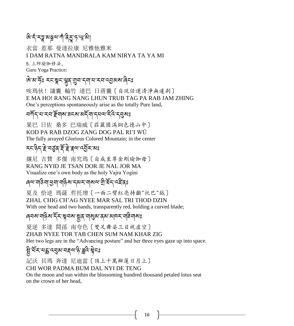# <u>और्न्'</u> रञ्जू बब्रुवाणौ देड्' पृ'भ्राओ

衣當 惹那 曼達拉康 尼雅他雅米 I DAM RATNA MANDRALA KAM NIRYA TA YA MI

5.上師瑜伽修法, Guru Yoga Practice:

# জি:ম'র্কৃঃ হর্ম্ব্লুম্'শ্রুম'ন্মান'মন'ন্ম্রুমম'ৰ্লিহঃ

唉瑪伙!讓囊 輪竹 達巴 日蔣囊〔自現任運清淨無邊剎〕 E MA HO! RANG NANG LHUN TRUB TAG PA RAB JAM ZHING One's perceptions spontaneously arise as the totally Pure land,

#### বর্সান্বান্ন ইনামা ব্রহ্মা অর্নুবান্ন বিদ্রব্য স্বর্ষি

果巴 日佐 桑多 巴瑞威〔莊嚴圓滿銅色德山中〕 KOD PA RAB DZOG ZANG DOG PAL RI'I WÜ The fully arrayed Glorious Colored Mountain; in the center

# རང་ཉིད་རྗེ་བཙུན་རོ་རྗེ་རྣལ་འབྱོར་མཱུྂཿ

攘尼 吉贊 多傑 南究瑪〔自成至尊金剛瑜伽母〕 RANG NYID JE TSAN DOR JE NAL JOR MA Visualize one's own body as the holy Vajra Yogini

#### ৰেঅ'নাউনা'শ্ৰুনা'নান্ত্ৰীম'ন্মুখ নামৰা'ন্মী'ৰ্ষন'ৰ্ছিবঃ

夏及 恰逆 瑪薩 哲托增〔一面二臂紅亮持顱"托巴"鉞〕 ZHAL CHIG CH'AG NYEE MAR SAL TRI THOD DZIN With one head and two hands, transparently red, holding a curved blade;

#### ৰেনম'নাইম'ৰ্ন্ন'স্খনম'ষ্ট্ৰম'ন্ম্নম'ৰ্ন্ন'নাইনামঃ

夏逆 多達 間孫 南夸色〔雙足舞姿三目視虛空〕 ZHAB NYEE TOR TAB CHEN SUM NAM KHAR ZIG Her two legs are in the "Advancing posture" and her three eyes gaze up into space.

# ৡ৾৽শ্রমণেহ্ন ওপৰা অন্নত্য ক্লী কৰি

記沃 貝瑪 奔達 尼迪當〔頂上十萬瓣蓮日月上〕 CHI WOR PADMA BUM DAL NYI DE TENG

On the moon and sun within the blossoming hundred thousand petaled lotus seat on the crown of her head,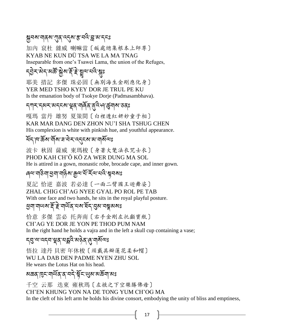#### <u>ৠবরা নার্থা এরি বর্তমাঞ্ক ব্রন্ত স্থাবন</u>ঃ

加內 袞杜 雜威 喇嘛當〔皈處總集根本上師尊〕 KYAB NE KUN DÜ TSA WE LA MA TNAG Inseparable from one's Tsawei Lama, the union of the Refuges,

# ॸॣॖॖ**੩ॆॖॸॱ**ऄॸॱॺऄॕॱऄॗॴॱड़ॕॱॾॆॱॺॗॢॺॱय़ऀ?ॱ<sub>ऄॖ</sub>ঃ

耶美 措記 多傑 珠必固〔無別海生金剛應化身〕 YER MED TSHO KYEY DOR JE TRUL PE KU Is the emanation body of Tsokye Dorje (Padmasambhava).

#### ন্সমানেমমানেমান্ত্ৰী স্মৃতি বিদ্যালয় স্মৃতি

嘎瑪 當丹 雄努 夏策間〔白裡透紅妍妙童子相〕 KAR MAR DANG DEN ZHON NU'I SHA TSHUG CHEN His complexion is white with pinkish hue, and youthful appearance.

#### শ্ৰন্দিষ্কৰ শীৰ্ষৰ নিৰ্দৰ্শনে আৰু মাজ

波卡 秋固 薩威 東瑪梭〔身著大氅法衣咒士衣〕 PHOD KAH CH'Ö KÖ ZA WER DUNG MA SOL He is attired in a gown, monastic robe, brocade cape, and inner gown.

#### ৰেঅ'বাউনা'শ্ৰুনা'নাৰ্ন্ত ৰা'ক্ৰম'ৰ্ম'ৰ্ম'ৰ্ম'ক্ষেত্ৰৰ সং

夏記 恰逆 嘉波 若必達〔一面二臂國王遊舞姿〕 ZHAL CHIG CH'AG NYEE GYAL PO ROL PE TAB With one face and two hands, he sits in the royal playful posture.

#### খুনা নানাপ্ৰাই দ্ৰু নানুষ্ঠা প্ৰয়োগৰ কৰি প্ৰয়োগৰ

恰意 多傑 雲必 托奔南〔右手金剛左托顱寶瓶〕 CH'AG YE DOR JE YON PE THOD PUM NAM In the right hand he holds a vajra and in the left a skull cup containing a vase;

ॸञञञ्ञप्याञ्च्ञ्ञपञ्चले अञ्चल् । अञ्चल 悟拉 達丹 貝密 年休梭〔頭戴具瓣蓮花柔和帽〕 WU LA DAB DEN PADME NYEN ZHU SOL He wears the Lotus Hat on his head.

#### <u>য়ড়ঽ৾৻ঀৼয়৾৸৻ৼঀৼৗৼ৻য়ৼ৸ৼ৸ৼ৸ৼ</u>

千空 云那 迭東 雍秋瑪〔左掖之下空樂勝佛母〕 CH'EN KHUNG YON NA DE TONG YUM CH'OG MA In the cleft of his left arm he holds his divine consort, embodying the unity of bliss and emptiness,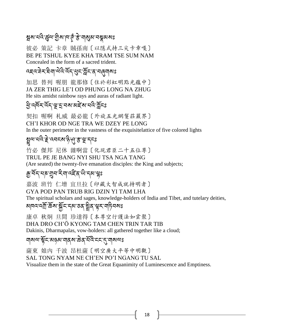### ষ্ণুম'নন্দ্রিজ্ন'ট্রিম'ন্দ্র্' স্ত্র'নাম্ভ্রম'নম্ভ্রমমঃ

彼必 策記 卡章 賊孫南〔以隱式持三尖卡章嘎〕 BE PE TSHUL KYEE KHA TRAM TSE SUM NAM Concealed in the form of a sacred trident.

दह्व:बेन:बेना:वेद:देन:क्षुन:ब्रान्गलुनारू:

加思 替列 喔朋 龍那修〔住於彩虹明點光蘊中〕 JA ZER THIG LE'I OD PHUNG LONG NA ZHUG He sits amidst rainbow rays and auras of radiant light.

#### <u>ਉ</u> ন্দৰ্ম হৈ ভূম বি মাৰ্ছ বা বি মুদ্ৰ

契扣 喔啊 札威 最必龍〔外旋五光網鬘莊嚴界〕 CH'I KHOR OD NGE TRA WE DZEY PE LONG In the outer perimeter in the vastness of the exquisitelattice of five colored lights

# જૂવા વાવે ≣ વચદ્દચ ફેબુ ₹ રૂપ દ્રન્દ

竹必 傑邦 尼休 雜啊當〔化現君臣二十五位尊〕 TRUL PE JE BANG NYI SHU TSA NGA TANG (Are seated) the twenty-five emanation disciples: the King and subjects;

# ক্ৰু<sup>:</sup>মঁন্'মচ'মুন'মী'নইন'থী'ন্ম'ঞ্লুঃ

嘉波 班竹 仁增 宜旦拉〔印藏大智成就持明者〕

#### GYA POD PAN TRUB RIG DZIN YI TAM LHA

The spiritual scholars and sages, knowledge-holders of India and Tibet, and tutelary deities,

#### ચાવવ વર્ચ : રૂચ દુધ જ જ ચૂંચ સ્રૃત વ્યક્ત વ્યક  $\ddot{\phantom{a}}$ Ì

康卓 秋炯 旦間 珍達得〔本尊空行護法如雲聚〕 DHA DRO CH'Ö KYONG TAM CHEN TRIN TAR TIB

Dakinis, Dharmapalas, vow-holders: all gathered together like a cloud;

#### ঘ্ৰমণ্য শ্লুঁহ'মন্ত্ৰম'বাৰ্ম'ক্তির'ৰ্ইহি'হ্হ'্ন'ম্বাৰ্মণ্ড

薩東 娘內 千波 昂杜薩〔明空廣大平等中明觀〕 SAL TONG NYAM NE CH'EN PO'I NGANG TU SAL Visualize them in the state of the Great Equanimity of Luminescence and Emptiness.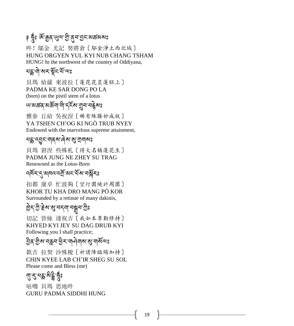# ৃ হ্নুঃ জঁ ক্কুর্'খ্রুম'খ্রী'ব্র্ম'ন্ড্রামেক্কর্মমঃ

吽! 鄔金 尤記 努將倉〔鄔金淨土西北域〕 HUNG ORGYEN YUL KYI NUB CHANG TSHAM HUNG! In the northwest of the country of Oddiyana,

#### মহ্লানী খনস্মূনম্য অঃ

貝瑪 給薩 東波拉〔蓮花花莖蓮胚上〕 PADMA KE SAR DONG PO LA (born) on the pistil stem of a lotus

# ཡ་མཚན་མཆོག་གི་དངོས་གྲུབ་བརྗེསཱུྂཿ

雅參 丘給 吳祝涅〔稀有殊勝妙成就〕 YA TSHEN CH'OG KI NGÖ TRUB NYEY Endowed with the marvelous supreme attainment,

#### য়হ্লুদ্মুন্দান্কাৰেৰাৰাৰাৰা

貝瑪 窘涅 些殊札〔得大名稱蓮花生〕 PADMA JUNG NE ZHEY SU TRAG Renowned as the Lotus-Born

# ব্দিম্ নৃষ্ণাৰ্ত্ত ৰাম্বিলি আৰু বিদ্যালয়

扣都 康卓 忙波夠〔空行圍繞於周圍〕 KHOR TU KHA DRO MANG PÖ KOR Surrounded by a retinue of many dakinis,

# ছিন্:গ্ৰু:াৰ্গ্ৰুম:গ্ৰুষ:গ্ৰীঃ

切記 皆絲 達祝吉〔我如本尊勤修持〕 KHYED KYI JEY SU DAG DRUB KYI Following you I shall practice;

# ঠ্রির' শ্রীষ'নক্লব' শ্রীষ'মানীৰ মাজখনেঃ

欽吉 拉契 沙殊梭〔祈請降臨賜加持〕 CHIN KYEE LAB CH'IR SHEG SU SOL Please come and Bless (me)

# <u>ন্ম:হ</u>ুরখিট্ট, ধ্রুঃ

咕嚕 貝瑪 思地吽 GURU PADMA SIDDHI HUNG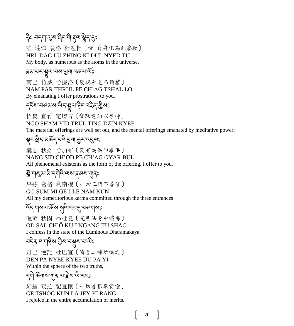# ৡৢ৾ঃ বন্মাণ্ড্ৰম'ৰ্ল্লিম্'ন্ল্লিখ্মুন্'ন্

啥 達侓 襄格 杜涅杜〔啥 自身化為剎塵數〕 HRI: DAG LÜ ZHING KI DUL NYED TU My body, as numerous as the atoms in the universe,

#### ङ्गबा:বামা খুত্ৰী বিজ্ঞান <u>প</u>ূৰ্ণ প্ৰায়

南巴 竹威 恰擦洛〔變現無邊而頂禮〕 NAM PAR THRUL PE CH'AG TSHAL LO By emanating I offer prostrations to you.

# হ্হিম নতৰ্বমাঞ্জি বুষ্ণাদ্বী নাই বাহীমঃ

悟夏 宜竹 定增吉〔實陳意幻以等持〕 NGÖ SHAM YID TRUL TING DZIN KYEE The material offerings are well set out, and the mental offerings emanated by meditative power;

ৠ<u>ৼ৾৻</u>ৠৼ৾*৸ড়ৼ*৾৻৸ড়৸ৼঢ়ৼ৻ড়৸ৼ

囊瑟 秋必 恰加布〔萬有為供印獻供〕 NANG SID CH'OD PE CH'AG GYAR BUL All phenomenal existents as the form of the offering, I offer to you.

### ৡঁশোম্ভ্ৰমাঞ্জী দুবাৰী অৰাস্থা কৰা মাতৃষ্ণ

果孫 密格 利南棍〔一切三門不善業〕 GO SUM MI GE'I LE NAM KUN All my demeritorious karma committed through the three entrances

# হ্নি'নামন্মস্তিম'সুবি'ন্ন'ন্'নম্পনামঃ

喔薩 秋固 昂杜夏〔光明法身中懺悔〕 OD SAL CH'Ö KU'I NGANG TU SHAG I confess in the state of the Luminous Dharamakaya.

# বন্দ্বানাৰাষ্ট্ৰমাত্ম বন্ধুৰা নাজিঃ

丹巴 逆記 杜巴宜〔隨喜二諦所攝之〕 DEN PA NYEE KYEE DÜ PA YI Within the sphere of the two truths,

ন্দী উনাৰ পাৰ অন্ত ৰূপ জা হছ

給措 袞拉 記宜攘〔一切善根眾資糧〕 GE TSHOG KUN LA JEY YI RANG I rejoice in the entire accumulation of merits.

20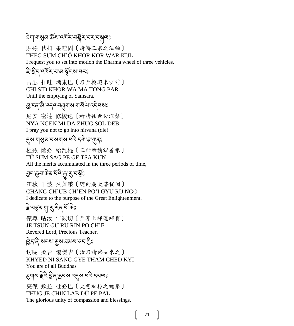# ষিনা'নাগ্রুম'ৰ্ক্স'ন'ব্রমুশ্মিক'বস্'নুমুন্মঃ

貼孫 秋扣 果哇固〔請轉三乘之法輪〕 THEG SUM CH'Ö KHOR KOR WAR KUL I request you to set into motion the Dharma wheel of three vehicles.

#### ই:থ্ৰীন্'ন্দ্ৰিন্'ন'ৰাম্প্লন্মৰ কা

吉瑟 扣哇 瑪東巴〔乃至輪迴未空前〕 CHI SID KHOR WA MA TONG PAR Until the emptying of Samsara,

# જી:८५.३.५५८:४७विज्ञीया:४४) अधि

尼安 密達 修梭迭〔祈請住世勿涅槃〕 NYA NGEN MI DA ZHUG SOL DEB I pray you not to go into nirvana (die).

#### ্ঝে নাপ্রম বেমনাম নন্ত্র ইশ্মুনঃ

杜孫 薩必 給雜棍〔三世所積諸善根〕 TÜ SUM SAG PE GE TSA KUN All the merits accumulated in the three periods of time,

### হ্যাঞ্জেন'ক্লক'ৰ্মাই'মুখ্য'নৰ্মূঃ

江秋 千波 久如哦〔迴向廣大菩提因〕 CHANG CH'UB CH'EN PO'I GYU RU NGO I dedicate to the purpose of the Great Enlightenment.

# *≩*∙নত্ত্বব্স্প্ৰাম্ব্ৰেঃ

傑尊 咕汝 仁波切〔至尊上師蓮師寶〕 JE TSUN GU RU RIN PO CH'E Revered Lord, Precious Teacher,

# ট্রিন'ন্নী'মন্মা'রুম'ঘমম'ডন'শ্রীঃ

切呢 桑吉 湯傑吉〔汝乃諸佛如來之〕 KHYED NI SANG GYE THAM CHED KYI You are of all Buddhas

# <u> ঘ্র</u>ন্মাঝ' া্রুই' ব্রিম্*ই*ন্স' ব্রি' ব্রন্মা

突傑 欽拉 杜必巴〔大悲加持之總集〕 THUG JE CHIN LAB DÜ PE PAL The glorious unity of compassion and blessings,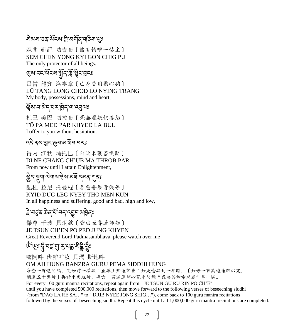# ষ্টিমেম'ডব'ৰ্ਘঁহম'শ্ৰী'মৰ্শীৰ'শ্ৰীৰ মানুঃ

森間 雍記 功吉布〔諸有情唯一怙主〕 SEM CHEN YONG KYI GON CHIG PU The only protector of all beings.

# <u>લુ</u> રૂ વર્ષે અને જ્યાર્થી સુરુ માટે

吕當 龍究 洛寧章〔己身受用識心胸〕 LÜ TANG LONG CHOD LO NYING TRANG My body, possessions, mind and heart,

#### ঐুঁষা যাত্ত্বিশেষ উন্নতা প্ৰযুক্ত

杜巴 美巴 切拉布〔毫無遲疑供養您〕 TÖ PA MED PAR KHYED LA BUL I offer to you without hesitation.

# འདི་ནས་བྱང་ཆུབ་མ་ཐོབ་པརཱུྂཿ

得内 江秋 瑪托巴〔自此未獲菩提間〕 DI NE CHANG CH'UB MA THROB PAR From now until I attain Enlightenment,

### ষ্ট্ৰন শ্ৰুণা শ্ৰমাৰ উত্থাপন কৰি ক্ষেপ্ৰ বিষয়

記杜 拉尼 托曼棍〔善惡苦樂貴賤等〕 KYID DUG LEG NYEY THO MEN KUN In all happiness and suffering, good and bad, high and low,

#### *हे* 'নৰ্ত্ত্ৰ'ক্ৰিক'ৰ্ম'মন্'ন্ত্ৰুন'মন্ত্ৰিকঃ

傑尊 千波 貝炯欽〔皆由至尊蓮師知〕 JE TSUN CH'EN PO PED JUNG KHYEN Great Reverend Lord Padmasambhava, please watch over me –

# জঁ<sup>ল্</sup>মুঃ ক্ষুঁ বহু বা 2 বস্ত্ৰী বুইঃ

嗡阿吽 班雜咕汝 貝瑪 斯地吽

#### OM AH HUNG BANZRA GURU PEMA SIDDHI HUNG

每唸一百遍間隔,又如前一樣誦"至尊上师蓮師寶"如是唸誦到一半時,〔如修一百萬遍蓮師心咒, 誦道五十萬時〕再祈求悉地時, 每唸一百遍蓮師心咒中間誦"我無其餘希求處"等一遍。 For every 100 guru mantra recitations, repeat again from " JE TSUN GU RU RIN PO CH'E" until you have completed 500,000 recitations, then move forward to the following verses of beseeching siddhi (from "DAG LA RE SA…" to " DRIB NYEE JONG SHIG…"), come back to 100 guru mantra recitations followed by the verses of beseeching siddhi. Repeat this cycle until all 1,000,000 guru mantra recitations are completed.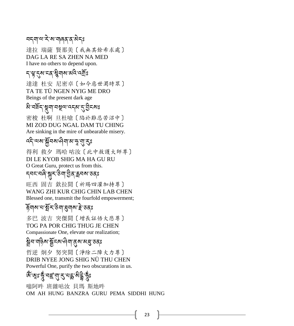### বন্মাঅ'ন্স'ম'মাৰ্ন্স'ৰ ক্ষি

達拉 瑞薩 賢那美〔我無其餘希求處〕 DAG LA RE SA ZHEN NA MED I have no others to depend upon.

#### ন্দ্ৰ'ন্ম'ন্ম'ৰ্মুখ্মীয় মন্ত্ৰীয়

達達 杜安 尼密卓〔如今惡世濁時眾〕 TA TE TÜ NGEN NYIG ME DRO Beings of the present dark age

# য়৸ৼয়৸ৼ৸ৼ৸ৼ৸ৼ৸ৼ৸ৼ৸ৼ৸ৼ৸ৼ

密梭 杜啊 旦杜嗆〔陷於難忍苦沼中〕 MI ZOD DUG NGAL DAM TU CHING Are sinking in the mire of unbearable misery.

# ব্দি'ৰ্ম্ম'ৰ্মুন্ম'ণ্ড্ৰী'ন্ম' দু'্মু'্কুঃ

得利 救夕 瑪哈 咕汝〔此中救護大師尊〕 DI LE KYOB SHIG MA HA GU RU O Great Guru, protect us from this.

# ন্ননমেৰী সুন্মউন্ম ট্ৰিক্স ক্ৰম তৰ্ষ

旺西 固吉 欽拉間〔祈賜四灌加持尊〕 WANG ZHI KUR CHIG CHIN LAB CHEN Blessed one, transmit the fourfold empowerment;

# हॅबाब व सुँदु उस् अर्थ है। उस्

多巴 波吉 突傑間〔增長証悟大悲尊〕 TOG PA POR CHIG THUG JE CHEN Compassionate One, elevate our realization;

# ৡ্রীন'নাβ়িষ'ষ্ট্রুহুম্ধিনা'্নুম'ম্ন্ত্রুঃ

哲逆 炯夕 努突間〔淨除二障大力尊〕 DRIB NYEE JONG SHIG NÜ THU CHEN Powerful One, purify the two obscurations in us.

# জঁ<sup>-</sup>জুঃ কুঁ বহু বা*ই* বাই খুইঃ

嗡阿吽 班雜咕汝 貝瑪 斯地吽 OM AH HUNG BANZRA GURU PEMA SIDDHI HUNG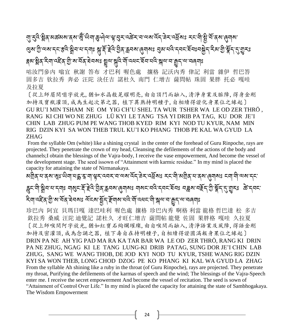# <sub>্</sub>ন্য হ্ৰব্দষ্ট্ৰিক মঙ্কৰুম জুঁ জিনা জ্ঞুত্ত্বিক জ্ঞানী প্ৰকাশ কৰা বাবাৰ বাবাৰ কৰা প্ৰশ্ন কৰা প্ৰশ্নৰ কৰা প্ৰশ্ন ঞ্জেন্ট্রাল্সান্দাস্কর স্ট্রান্দান্দাঃ স্কুর্দ্দাইর্দ্রই অর্থ ক্রমন্ত্রান্ত প্রমান্দের দেশ স্কুর্ণ করা স্কুর্ণ ক্কা ষ্ট্ৰীব্ৰ বিশা বৰ্হীৰ অঁষা বৰ্তন স্থানীয়ে স্থানীয়ে প্ৰতিষ্ঠান বৰ্তন স্থানীয় কৰিবলৈ প্ৰতিষ্ঠান কৰি বিশা

咕汝門參內 嗡宜 秋謝 答布 才巴利 喔色處 攘格 記沃內秀 侓記 利當 雜伊 哲巴答 固多吉 钦拉秀 奔必 汪陀 決任吉 諾杜久 南門 仁增吉 薩問帖 珠固 果胖 托必 嘎哇 及拉夏

〔從上師眉間嗡字放光,猶如水晶般晃耀明亮,由自頂門而融入,清淨身業及脈障,得身金剛 加持及寶瓶灌頂,成為生起次第之器, 植下異熟持明種子,自相續得證化身果位之緣起〕 GU RU'I MIN TSHAM NE OM YIG CH'U SHEL TA WUR TSHER WA LE OD ZER THRÖ , RANG KI CHI WO NE ZHUG LÜ KYI LE TANG TSA YI DRIB PA TAG, KU DOR JE'I CHIN LAB ZHUG PUM PE WANG THOB KYED RIM KYI NOD TU KYUR, NAM MIN RIG DZIN KYI SA WON THEB TRUL KU'I KO PHANG THOB PE KAL WA GYUD LA ZHAG

From the syllable Om (white) like a shining crystal in the center of the forehead of Guru Rinpoche, rays are projected. They penetrate the crown of my head, Cleansing the defilements of the actions of the body and channels;I obtain the blessings of the Vajra-body, I receive the vase empowerment, And become the vessel of the development stage. The seed issown of "Attainment with karmic residue." In my mind is placed the capacity for attaining the state of Nirmanakaya.

མགྲིན་པ་ནས་ཨཱུྂཿ་ཡིག་པདྨ་རཱ་ག་ལྟར་འབར་བ་ལས་འོད་ཟྗེར་འཕོསཱུྂཿ རང་གི་མགྲིན་པ་ནས་ཞུགསཱུྂཿ ངག་གི་ལས་དང་ ক্স্ক্র্ন্সীর্সম্মান্মাঃ মাম্ভ্র্ন্স্ইন্দ্র্র্মইন্স্ট্রন্স্ক্র্নম্ভের্মান্মান্ম মাম্বন্মইন্সং রাজ্ল্বিস্ট্রেন্স্ক্র্যার্ম্ব্রাস্ক্র্যার্ক্স্ব্রাস্ক্র্যার্ক্স্য জিন্নব্ షিন্দ্রেইন্ড্রি'ম'র্মন্ ইনম্জ ম্রন্ম'র্মুন্স্লিম্বার্মিন্দ্রার্ম্মিন্ম'ন'রূন্দ্র'ন্মন্নার্মাঃ

珍巴內 阿宜 貝瑪日嘎 達巴哇利 喔色處 攘格 珍巴內秀 啊格 利當 龍格 哲巴達 松 多吉 欽拉秀 桑威 汪陀 迪覺記 諾杜久 才旺仁增吉 薩問帖 龍覺 佐固 果胖格 嘎哇 久拉夏 〔從上師喉間阿字放光,猶如紅寶石絢爛璀璨,由自喉間而融入,清淨語業及風障,得語金剛 加持及密灌頂,成為念誦之器, 植下壽自在持明種子,自相續得證圓滿報身果位之緣起〕 DRIN PA NE AH YIG PAD MA RA KA TAR BAR WA LE OD ZER THRÖ, RANG KI DRIN PA NE ZHUG, NGAG KI LE TANG LUNG-KI DRIB PATAG, SUNG DOR JE'I CHIN LAB ZHUG, SANG WE WANG THOB, DE JOD KYI NOD TU KYUR, TSHE WANG RIG DZIN KYI SA WON THEB, LONG CHOD DZOG PE KO PHANG KI KAL WA GYUD LA ZHAG From the syllable Ah shining like a ruby in the throat (of Guru Rinpoche), rays are projected. They penetrate my throat, Purifying the defilements of the karmas of speech and the wind; The blessings of the Vajra-Speech enter me. I receive the secret empowerment And become the vessel of recitation. The seed is sown of "Attainment of Control Over Life." In my mind is placed the capacity for attaining the state of Sambhogakaya. The Wisdom Empowerment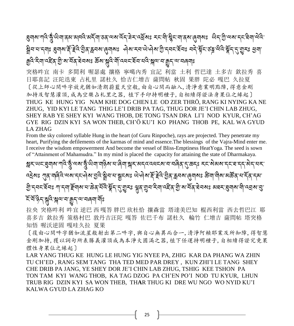ॾॖॻॺॱग़ढ़ॆॱड़ॢॕॱऄॻॱड़ॺॱॺॺॎऀ॓ॱअॸॆ॔ॻॱड़ड़ॱॺॺॱढ़ॅॸ॔ॱॾ॓ॸॱढ़ॺॖॕॺਃ ॸॸॱॺऀॱऄॢॸॱॻॱड़ॺॱ*ॶ*ॸॱऄॱॱऄज़ॱॸॸॱऄॻॱऄढ़॓ॱ ষ্ট্রন'ন'ন্দাঃ ধ্রুনাঝ'র্¥় ≩ন্টি:ঠ্রিন্ক্রনম'ৰ্ন্মোমঃ ক্রিম'ন্নম'থ্যক্রী'ন্ননম্বনঃ নন্দ্রীন'ত ব্লু এটি'র্ম্কুন'ন্মুন্ড প্রুন' ক্রুবি ইনা বইন্ শ্রী মার্সিব ৰবমঃ র্জ্ঞমা সুবি মান্বিব হবি শ্রী স্বাস ক্রুন আবেলাঃ

突格吽宜 南卡 多間利 喔瑟處 攘格 寧噶內秀 宜記 利當 土利 哲巴達 土多吉 欽拉秀 喜 日耶喜記 汪陀迭東 占札里 諾杜久 恰吉仁增吉 薩問帖 秋固 果胖 陀必 嘎巴 久拉夏 〔從上師心間吽字放光猶如清朗蔚藍天空般,由自心間而融入,清淨意業明點障,得意金剛 加持及智慧灌頂,成為空樂占札里之器, 植下手印持明種子,自相續得證法身果位之緣起〕 THUG KE HUNG YIG NAM KHE DOG CHEN LE OD ZER THRÖ, RANG KI NYING KA NE ZHUG, YID KYI LE TANG THIG LE'I DRIB PA TAG, THUG DOR JE'I CHIN LAB ZHUG, SHEY RAB YE SHEY KYI WANG THOB, DE TONG TSAN DRA LI'I NOD KYUR, CH'AG GYE RIG DZIN KYI SA WON THEB, CH'Ö KU'I KO PHANG THOB PE, KAL WA GYUD LA ZHAG

From the sky colored syllable Hung in the heart (of Guru Rinpoche), rays are projected. They penetrate my heart, Purifying the defilements of the karmas of mind and essence.The blessings of the Vajra-Mind enter me. I receive the wisdom empowerment And become the vessel of Bliss-Emptiness HeatYoga. The seed is sown of "Attainment of Mahamudra." In my mind is placed the capacity for attaining the state of Dharmakaya.

જ્ઞૂર ખવાલુવારા જાવે જું વચાર્જુ ખેવા વર્ણિયા વાંચીના જ્ઞૂરા અવવારવારા વાલેવારી કરી કરી કરવા સાચા સ્વાસ વારા સ Ì  $\ddot{\phantom{a}}$ ؚ<br>ا বইমঃ গ্যুষ্মাৰিবিঅম্যান্নদৌমান্ত্ৰবিক্ষ্ণিৰাবাস্থ্ৰানমঃ ঐদ্বিমাৰ্দ্লবিস্ট্ৰেন্ক্লব্মাৰ্ল্বমঃ স্তমাদীমামৰ্জ্ঞবাধাৰ্দ্বান্দমা গ্রি:ন্ননস্থিনঃ শান্মার্স্লিম্মানাক্তির্ র্মিষ্ট্রম্ব্র্ম্ভুম্ঃ গ্লুর্'য়ুন'ন্মিন'ন্ম্লিক্ট'মার্মির্'ন্নম্বম্পারাজ্যমান্ত্র' হঁ হঁণ্ড্ৰিণ সুবি সুৰণৰ ভূন ৰণবৰৰ মূঃ

拉央 突格吽利 吽宜 逆巴 西 嘎答 胖巴 欣杜恰 攘森當 塔達美巴知 棍西利當 西去哲巴江 耶 喜多吉 欽拉秀 策格村巴 敦丹吉汪陀 嘎答 佐巴千布 諾杜久 輪竹 仁增吉 薩問帖 塔突格 知悟 喔沃逆固 嘎哇久拉 夏果

〔復由心間吽字猶如流星般射出第二吽字,與自心無異而合一,清淨阿賴耶業及所知障,得智慧 金剛加持,獲以詞句所表勝義灌頂成為本淨大圓滿之器,植下任運持明種子,自相續得證究竟果 體性身果位之緣起〕

LAR YANG THUG KE HUNG LE HUNG YIG NYEE PA, ZHIG KAR DA PHANG WA ZHIN TU CH'ED , RANG SEM TANG THA TED MED PAR DREY , KUN ZHI'I LE TANG SHEY CHE DRIB PA JANG, YE SHEY DOR JE'I CHIN LAB ZHUG, TSHIG KEE TSHON PA TON TAM KYI WANG THOB, KA TAG DZOG PA CH'EN PO'I NOD TU KYUR, LHUN TRUB RIG DZIN KYI SA WON THEB, TH**A**R THUG KI DRE WU NGO WO NYID KU'I KALWA GYUD LA ZHAG KO

25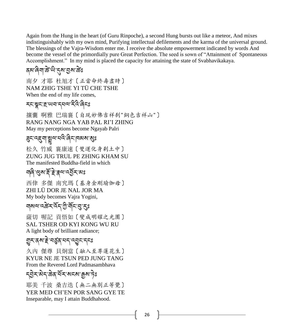Again from the Hung in the heart (of Guru Rinpoche), a second Hung bursts out like a meteor, And mixes indistinguishably with my own mind, Purifying intellectual defilements and the karma of the universal ground. The blessings of the Vajra-Wisdom enter me. I receive the absolute empowerment indicated by words And become the vessel of the primordially pure Great Perfection. The seed is sown of "Attainment of Spontaneous Accomplishment." In my mind is placed the capacity for attaining the state of Svabhavikakaya.

#### <u> </u>রম'ন্নিশ'ক্তী' উট্ট' ক্রম' ক্রিঃ

南夕 才耶 杜旭才〔正當命終壽盡時〕 NAM ZHIG TSHE YI TÜ CHE TSHE When the end of my life comes,

#### **རང་སྲུང་རྲ་ལབ་དཔལ་རིའི་འིངঃ**

攘囊 啊雅 巴瑞襄〔自現妙佛吉祥刹"銅色吉祥山"〕 RANG NANG NGA YAB PAL RI'I ZHING May my perceptions become Ngayab Palri

#### ব্ৰুন'ব্ছ্ন্মাশ্লুম'নব্দ্ৰিন'নৰমাৰ্থঃ

松久 竹威 襄康速〔雙運化身剎土中〕 ZUNG JUG TRUL PE ZHING KHAM SU The manifested Buddha-field in which

#### ৸ৰি'থ্ৰুম'ৰ্ই'ক্লৰ'ৰ্ম্ভ্ৰী সম্ভ

西侓 多傑 南究瑪〔基身金剛瑜伽母〕 ZHI LÜ DOR JE NAL JOR MA My body becomes Vajra Yogini,

#### নামন্দ্ৰই মন্ত্ৰী মুখ্য বুঃ

薩切 喔記 貢悟如〔變成明耀之光團〕 SAL TSHER OD KYI KONG WU RU A light body of brilliant radiance;

#### གྱུར་ནས་རྗེ་བཙུན་པད་འབྱུང་དངཱུྂཿ

久內 傑尊 貝炯當〔融入至尊蓮花生〕 KYUR NE JE TSUN PED JUNG TANG From the Revered Lord Padmasambhava

#### <u>ॸ</u>ॢऄॖ॒ॸॱऄॸॱऴॆढ़ॱऄ॔ॸॱॺॸॺॱक़ॗॺॱॸॆॖਃ

耶美 千波 桑吉迭〔無二無別正等覺〕 YER MED CH'EN POR SANG GYE TE Inseparable, may I attain Buddhahood.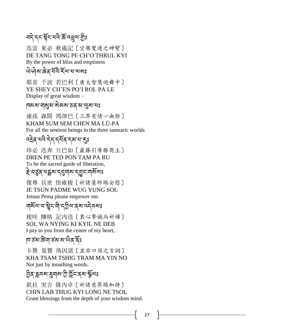# ব্দ্র দ্দুর্শ্মেই ক্রিপ্রেম্ম ট্রিঃ

迭當 東必 秋處記〔空樂雙運之神變〕 DE TANG TONG PE CH'O THRUL KYI By the power of bliss and emptiness

#### ঐ দৌ ৰা ক্টেব'ৰ্মাই ক্ষেত্ৰ বাবে ৰা

耶喜 千波 若巴利〔廣大智慧遊舞中〕 YE SHEY CH'EN PO'I ROL PA LE Display of great wisdom –

#### দেঝৰা নাৰ্য্য ৰাজ্য প্ৰকাৰী দিৱস

康孫 森間 瑪侓巴〔三界有情一無餘〕 KHAM SUM SEM CHEN MA LÜ-PA For all the sentient beings in the three samsaric worlds

#### ন্দ্ৰইন'নব্দি'ন্নম'ৰ'ক্ষ

珍必 迭奔 旦巴如〔最勝引導勝商主〕 DREN PE TED PON TAM PA RU To be the sacred guide of liberation,

#### *≩་*নর্ত্ত্ব্বন্দ্ধ্রুম'ন্মুনাম'ন্মুন'নার্মন্থঃ

傑尊 貝密 悟雍梭〔祈請蓮師賜安慰〕 JE TSUN PADME WUG YUNG SOL Jetsun Pema please empower me.

### ঘার্মন্দার্শ্বইন নীন্দ্রীন্দার্শ বেন বিষা

梭哇 釀格 記內迭〔衷心摯誠而祈禱〕 SOL WA NYING KI KYIL NE DEB I pay to you from the center of my heart,

#### দজ্য উন্নাৰ্ড ৰাজ্য আৰু বিষ্ণ

卡贊 策贊 瑪因諾〔並非口頭之言詞〕 KHA TSAM TSHIG TRAM MA YIN NO Not just by mouthing words.

#### ঠ্রিক'ক্লনম'ব্রুনাম'শ্রী'স্ল্লন্কেম'স্কুন্মঃ

欽拉 突吉 隆内卓〔祈請意界賜加持〕 CHIN LAB THUG KYI LONG NE TSOL Grant blessings from the depth of your wisdom mind.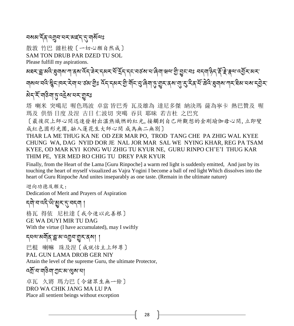#### ব্ৰম্নাইন্ন ন্মুন নেমৰ্দ্ৰ ন্মৰ্মানঃ

散敦 竹巴 雜杜梭〔一切心願自然成〕 SAM TON DRUB PAR DZED TU SOL

Please fulfill my aspirations.

མཐར་བླ་མའི་ཐུགས་ཀ་ནས་འོད་ཟྗེར་དམར་པོ་དྲོད་དང་བཙས་པ་ཞིག་ཝལ་གི་བྱུང་བཱུྂཿ བདག་ཉིད་རོ་རྗེ་རྣལ་འབྱོར་མར་

ঘ্ৰমন্মন্ত্ৰ স্থিন দিম মীৰা বাৰ্থ প্ৰাৰ্থ দুৰ্দি পৰা বিভিন্ন প্ৰাৰ্থ আৰু বিভিন্ন পৰা বিভিন্ন প্ৰদাস বিপ্ৰাৰ্থ ঌ৾ঀৼৼয়ড়৶৸ড়ৢ৽ৼ৾

# 塔 喇米 突噶尼 喔色瑪波 卓當 皆巴秀 瓦及雄為 達尼多傑 納決瑪 薩為寧卡 熱巴贊及 喔

瑪及 供悟 日度 及涅 古日 仁波切 突噶 吞貝 耶昧 若吉杜 之巴究

〔最後從上師心間迅速發射出溫熱熾燃的紅光,接觸到自己所觀想的金剛瑜伽母心間,立即變 成紅色圓形光團,融入蓮花生大師心間 成為無二無別〕

THAR LA ME THUG KA NE OD ZER MAR PO, TROD TANG CHE PA ZHIG WAL KYEE CHUNG WA, DAG NYID DOR JE NAL JOR MAR SAL WE NYING KHAR, REG PA TSAM KYEE, OD MAR KYI KONG WU ZHIG TU KYUR NE, GURU RINPO CH'E'I THUG KAR THIM PE, YER MED RO CHIG TU DREY PAR KYUR

Finally, from the Heart of the Lama [Guru Rinpoche] a warm red light is suddenly emitted, And just by its touching the heart of myself visualized as Vajra Yogini I become a ball of red light Which dissolves into the heart of Guru Rinpoche And unites inseparably as one taste. (Remain in the ultimate nature)

迴向功德及願文: Dedication of Merit and Prayers of Aspiration

# <u> </u>ন্দী'ন'ন্দী'গ্রুম'ন্'নন্দা ।

格瓦 得依 尼杜達〔我今速以此善根〕 GE WA DUYI MIR TU DAG With the virtue (I have accumulated), may I swiftly

དཔལ་མགོན་བླ་མ་འགྲུབ་གྱུར་ནས། །

巴棍 喇嘛 珠及涅〔成就怙主上師尊〕

PAL GUN LAMA DROB GER NIY

Attain the level of the supreme Guru, the ultimate Protector,

বর্ষ্রাব্দাস্তিনা শ্রুনমে খ্রেষাবা

卓瓦 久將 瑪力巴〔令諸眾生無一餘〕 DRO WA CHIK JANG MA LU PA Place all sentient beings without exception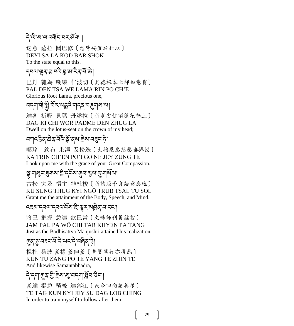### देखे रावादमॅन सर्वे ।

迭意 薩拉 闊巴修〔悉皆安置於此地〕 DEYI SA LA KOD BAR SHOK To the state equal to this.

<u></u> ন্য়ন্মাঞ্ছৰাস্ত্ৰান্ত্ৰীয় মাইৰাস্থিতি

巴丹 雜為 喇嘛 仁波切〔具德根本上師如意寶〕 PAL DEN TSA WE LAMA RIN PO CH'E Glorious Root Lama, precious one,

বন্না নী ষ্ট্ৰ বিঁম বহ্লব নাৰ বাৰ্ত্ত নাৰা 達各 祈喔 貝瑪 丹述拉〔祈求安住頂蓮花墊上〕 DAG KI CHI WOR PADME DEN ZHUG LA Dwell on the lotus-seat on the crown of my head;

# বশ্দইৰ্'ঙৰ্'নন্দ্ৰ'ৰ্ম'ইম'ন্ন্ত্ৰ-'চী

噶珍 欽布 果涅 及松迭〔大德恩惠慈悲垂攝授〕 KA TRIN CH'EN PO'I GO NE JEY ZUNG TE Look upon me with the grace of your Great Compassion.

# ষ্ণু মাৰ্ষ্ণ ব্ৰেমাৰ স্মৃত বিৰোধ স্মৃত বিৰোধ

古松 突及 悟主 雜杜梭〔祈請賜予身語意悉地〕 KU SUNG THUG KYI NGÖ TRUB TSAL TU SOL Grant me the attainment of the Body, Speech, and Mind.

#### दह्य द्मव्य द्मवत्यं याहे श्रृंदायुर्व् ना द्म

將巴 把握 急達 欽巴當〔文殊師利勇猛智〕 JAM PAL PA WÖ CHI TAR KHYEN PA TANG Just as the Bodhisattva Manjushri attained his realization,

#### ্শৰ্ম্;সৰহাৰ্শ্ৰীৰ অধ্যাপক বিৰি

棍杜 桑波 爹樣 爹伸爹〔普賢慧行亦復然〕 KUN TU ZANG PO TE YANG TE ZHIN TE And likewise Samantabhadra,

# <u>ឝ៝៶ᢣ៷៲៶៱៲៷៹៹៹៵៹៵៹៵៷៵៷៝៲៹៷៵៹៷៲៹៷៵៹</u>៹៲

爹達 棍急 積絲 達落江〔我今回向諸善根〕 TE TAG KUN KYI JEY SU DAG LOB CHING In order to train myself to follow after them,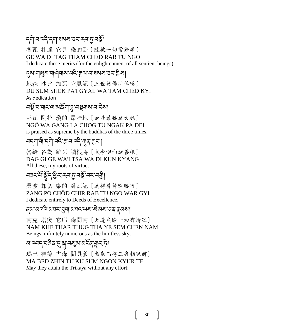# <sub>ॸऺ</sub>बोॱনॱঽ৾৾ঀ৾<sup></sup>ॱॸञ् 'तब्र्भिर् अस्ति । अत्र अस्ति ।

各瓦 杜達 它見 染的卧〔隨彼一切常修學〕 GE WA DI TAG THAM CHED RAB TU NGO I dedicate these merits (for the enlightenment of all sentient beings).

#### ্ঝ'নাথ্রুম'না�্বনাম'ন্নই'ক্কুন্ম'ন'রম্মান্তন'গ্রীমা

地森 沙比 加瓦 它見記〔三世諸佛所稱嘆〕 DU SUM SHEK PA'I GYAL WA TAM CHED KYI As dedication

#### বর্ষু বাবাবাৰাজ্ঞী অভিযান কৰা

卧瓦 剛拉 瓊的 昂哇地〔如是最勝諸大願〕 NGÖ WA GANG LA CHOG TU NGAK PA DEI is praised as supreme by the buddhas of the three times,

# বন্মা নী ন্দী বন্দ্ৰ স্কৰ বন্দী শ্ৰম ক্ৰমে

答給 各為 雜瓦 讀根將〔我今迴向諸善根〕 DAG GI GE WA'I TSA WA DI KUN KYANG All these, my roots of virtue,

# বৰ্নশ্মিশ্ৰীৰ ব্যক্তিত বৰ্ষ কৰা

桑波 却切 染的 卧瓦記〔為得普賢殊勝行〕 ZANG PO CHÖD CHIR RAB TU NGO WAR GYI I dedicate entirely to Deeds of Excellence.

#### ব্ৰু মাৰ্ঘি মেঘৰ ব্ৰুমা অধব অৱ স্থান কৰি কৰা।

南克 塔突 它耶 森間南〔天邊無際一切有情眾〕 NAM KHE THAR THUG THA YE SEM CHEN NAM Beings, infinitely numerous as the limitless sky,

# ষ'ব্বন্'বৰ্ণৰ বৃত্তম'ৰ্মুম'ৰ মুম'ৰ

瑪巴 神德 古森 間具爹〔無勤而得三身相現前〕 MA BED ZHIN TU KU SUM NGON KYUR TE May they attain the Trikaya without any effort;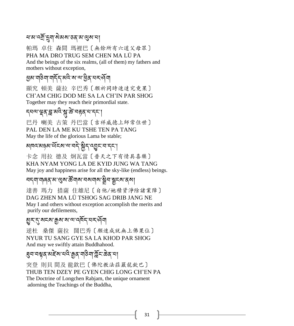#### ষজ্যবর্ষী দুনা মিমমা তথ্য সাধী

帕瑪 卓住 森間 瑪裡巴〔無餘所有六道父母眾〕 PHA MA DRO TRUG SEM CHEN MA LÜ PA And the beings of the six realms, (all of them) my fathers and mothers without exception,

#### ཕྱམ་གཅིག་གདོད་མའི་ས་ལ་ཕྱིན་པར་ཤོག

顯究 頓美 薩拉 辛巴秀〔願祈同時速達究竟果〕 CH'AM CHIG DOD ME SA LA CH'IN PAR SHOG Together may they reach their primordial state.

### *ॸ*ঀॺॱয়ৄॺ<sub>৾</sub>ঀৢॱয়<sup>৻ঽ</sup>ॱয়ৢॱౙ<sup>੶</sup>য়ড়য়</sup>ৼঀৼ

巴丹 喇美 古策 丹巴當〔吉祥威德上師常住世〕 PAL DEN LA ME KU TSHE TEN PA TANG May the life of the glorious Lama be stable;

# མ୮འ་མནམ་ལོངས་ལ་བད་སྐྱོད་འབྱུང་བ་དང་།

卡念 用拉 德及 炯瓦當〔普天之下有情具喜樂〕 KHA NYAM YONG LA DE KYID JUNG WA TANG May joy and happiness arise for all the sky-like (endless) beings.

#### <u> বর্ন</u>া নাৰৰ ম'শ্রুম'র্স্ত নাম'নমনাম'ষ্ট্রন'ষ্ট্রহম'ৰ্ম।

達善 瑪力 措薩 住雄尼〔自他/她積資淨除諸業障〕 DAG ZHEN MA LÜ TSHOG SAG DRIB JANG NE May I and others without exception accomplish the merits and purify our defilements,

#### <u>য়</u>ৣঽ৾<sup>৻</sup>ৼ৾৻য়ৼৼ৻য়৸ৼ৸৻৸ৼ৸ৼ৻৸

逆杜 桑傑 薩拉 闊巴秀〔願速成就無上佛果位〕 NYUR TU SANG GYE SA LA KHOD PAR SHOG And may we swiftly attain Buddhahood.

#### <u></u>য়ৢন<sup>੶</sup>নম্নুর্`মই: ক্রুন্স, মুইন'র্টন, ক্রুন্স,

突登 則貝 間及 龍欽巴〔佛陀教法莊嚴龍欽巴〕 THUB TEN DZEY PE GYEN CHIG LONG CH'EN PA The Doctrine of Longchen Rabjam, the unique ornament adorning the Teachings of the Buddha,

31